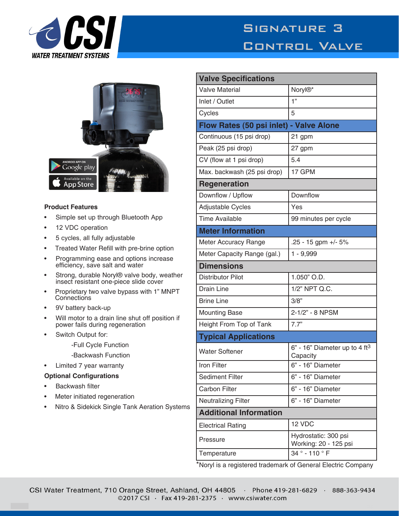



## **Product Features**

- Simple set up through Bluetooth App
- 12 VDC operation
- 5 cycles, all fully adjustable
- Treated Water Refill with pre-brine option
- Programming ease and options increase efficiency, save salt and water
- Strong, durable Noryl® valve body, weather insect resistant one-piece slide cover
- Proprietary two valve bypass with 1" MNPT **Connections**
- 9V battery back-up
- Will motor to a drain line shut off position if power fails during regeneration
- Switch Output for:
	- -Full Cycle Function
	- -Backwash Function
- Limited 7 year warranty

## **Optional Configurations**

- Backwash filter
- Meter initiated regeneration
- Nitro & Sidekick Single Tank Aeration Systems

| <b>Valve Specifications</b>                             |  |
|---------------------------------------------------------|--|
| Noryl <sup>®*</sup>                                     |  |
| 1"                                                      |  |
| 5                                                       |  |
| Flow Rates (50 psi inlet) - Valve Alone                 |  |
| 21 gpm                                                  |  |
| 27 gpm                                                  |  |
| 5.4                                                     |  |
| 17 GPM                                                  |  |
| <b>Regeneration</b>                                     |  |
| Downflow                                                |  |
| Yes                                                     |  |
| 99 minutes per cycle                                    |  |
| <b>Meter Information</b>                                |  |
| .25 - 15 gpm +/- 5%                                     |  |
| $1 - 9,999$                                             |  |
| <b>Dimensions</b>                                       |  |
| 1.050" O.D.                                             |  |
| 1/2" NPT Q.C.                                           |  |
| 3/8"                                                    |  |
| 2-1/2" - 8 NPSM                                         |  |
| 7.7"                                                    |  |
| <b>Typical Applications</b>                             |  |
| $6"$ - 16" Diameter up to 4 ft <sup>3</sup><br>Capacity |  |
| 6" - 16" Diameter                                       |  |
| 6" - 16" Diameter                                       |  |
| 6" - 16" Diameter                                       |  |
| 6" - 16" Diameter                                       |  |
| <b>Additional Information</b>                           |  |
| 12 VDC                                                  |  |
| Hydrostatic: 300 psi<br>Working: 20 - 125 psi           |  |
| 34° - 110 ° F                                           |  |
|                                                         |  |

\*Noryl is a registered trademark of General Electric Company